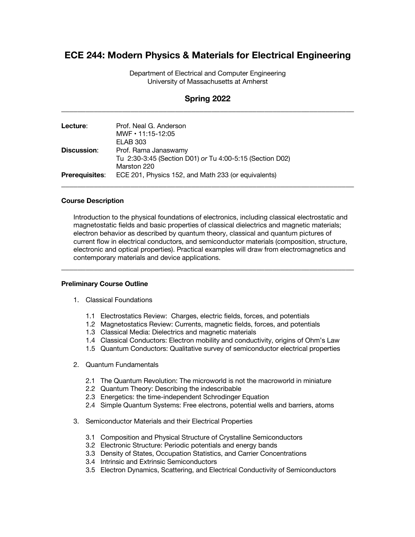# **ECE 244: Modern Physics & Materials for Electrical Engineering**

Department of Electrical and Computer Engineering University of Massachusetts at Amherst

# **Spring 2022** \_\_\_\_\_\_\_\_\_\_\_\_\_\_\_\_\_\_\_\_\_\_\_\_\_\_\_\_\_\_\_\_\_\_\_\_\_\_\_\_\_\_\_\_\_\_\_\_\_\_\_\_\_\_\_\_\_\_\_\_\_\_\_\_\_\_\_\_\_\_\_\_

| Lecture:              | Prof. Neal G. Anderson<br>$MWF \cdot 11:15-12:05$<br><b>ELAB 303</b>                            |
|-----------------------|-------------------------------------------------------------------------------------------------|
| <b>Discussion:</b>    | Prof. Rama Janaswamy<br>Tu 2:30-3:45 (Section D01) or Tu 4:00-5:15 (Section D02)<br>Marston 220 |
| <b>Prerequisites:</b> | ECE 201, Physics 152, and Math 233 (or equivalents)                                             |

### **Course Description**

Introduction to the physical foundations of electronics, including classical electrostatic and magnetostatic fields and basic properties of classical dielectrics and magnetic materials; electron behavior as described by quantum theory, classical and quantum pictures of current flow in electrical conductors, and semiconductor materials (composition, structure, electronic and optical properties). Practical examples will draw from electromagnetics and contemporary materials and device applications.

\_\_\_\_\_\_\_\_\_\_\_\_\_\_\_\_\_\_\_\_\_\_\_\_\_\_\_\_\_\_\_\_\_\_\_\_\_\_\_\_\_\_\_\_\_\_\_\_\_\_\_\_\_\_\_\_\_\_\_\_\_\_\_\_\_\_\_\_\_\_\_\_

### **Preliminary Course Outline**

- 1. Classical Foundations
	- 1.1 Electrostatics Review: Charges, electric fields, forces, and potentials
	- 1.2 Magnetostatics Review: Currents, magnetic fields, forces, and potentials
	- 1.3 Classical Media: Dielectrics and magnetic materials
	- 1.4 Classical Conductors: Electron mobility and conductivity, origins of Ohm's Law
	- 1.5 Quantum Conductors: Qualitative survey of semiconductor electrical properties
- 2. Quantum Fundamentals
	- 2.1 The Quantum Revolution: The microworld is not the macroworld in miniature
	- 2.2 Quantum Theory: Describing the indescribable
	- 2.3 Energetics: the time-independent Schrodinger Equation
	- 2.4 Simple Quantum Systems: Free electrons, potential wells and barriers, atoms
- 3. Semiconductor Materials and their Electrical Properties
	- 3.1 Composition and Physical Structure of Crystalline Semiconductors
	- 3.2 Electronic Structure: Periodic potentials and energy bands
	- 3.3 Density of States, Occupation Statistics, and Carrier Concentrations
	- 3.4 Intrinsic and Extrinsic Semiconductors
	- 3.5 Electron Dynamics, Scattering, and Electrical Conductivity of Semiconductors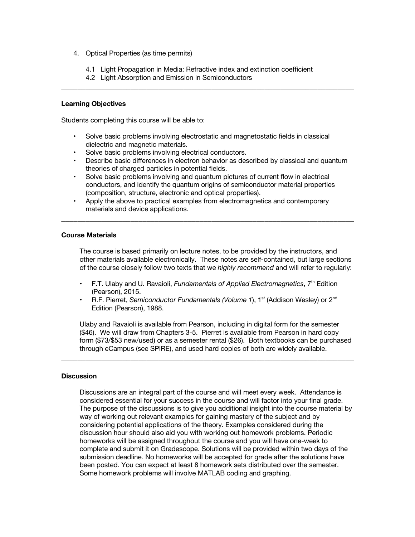- 4. Optical Properties (as time permits)
	- 4.1 Light Propagation in Media: Refractive index and extinction coefficient

\_\_\_\_\_\_\_\_\_\_\_\_\_\_\_\_\_\_\_\_\_\_\_\_\_\_\_\_\_\_\_\_\_\_\_\_\_\_\_\_\_\_\_\_\_\_\_\_\_\_\_\_\_\_\_\_\_\_\_\_\_\_\_\_\_\_\_\_\_\_\_\_

4.2 Light Absorption and Emission in Semiconductors

## **Learning Objectives**

Students completing this course will be able to:

- Solve basic problems involving electrostatic and magnetostatic fields in classical dielectric and magnetic materials.
- Solve basic problems involving electrical conductors.
- Describe basic differences in electron behavior as described by classical and quantum theories of charged particles in potential fields.
- Solve basic problems involving and quantum pictures of current flow in electrical conductors, and identify the quantum origins of semiconductor material properties (composition, structure, electronic and optical properties).
- Apply the above to practical examples from electromagnetics and contemporary materials and device applications.

\_\_\_\_\_\_\_\_\_\_\_\_\_\_\_\_\_\_\_\_\_\_\_\_\_\_\_\_\_\_\_\_\_\_\_\_\_\_\_\_\_\_\_\_\_\_\_\_\_\_\_\_\_\_\_\_\_\_\_\_\_\_\_\_\_\_\_\_\_\_\_\_

### **Course Materials**

The course is based primarily on lecture notes, to be provided by the instructors, and other materials available electronically. These notes are self-contained, but large sections of the course closely follow two texts that we *highly recommend* and will refer to regularly:

- F.T. Ulaby and U. Ravaioli, *Fundamentals of Applied Electromagnetics*, 7th Edition (Pearson), 2015.
- R.F. Pierret, *Semiconductor Fundamentals (Volume 1*), 1st (Addison Wesley) or 2nd Edition (Pearson), 1988.

\_\_\_\_\_\_\_\_\_\_\_\_\_\_\_\_\_\_\_\_\_\_\_\_\_\_\_\_\_\_\_\_\_\_\_\_\_\_\_\_\_\_\_\_\_\_\_\_\_\_\_\_\_\_\_\_\_\_\_\_\_\_\_\_\_\_\_\_\_\_\_\_

Ulaby and Ravaioli is available from Pearson, including in digital form for the semester (\$46). We will draw from Chapters 3-5. Pierret is available from Pearson in hard copy form (\$73/\$53 new/used) or as a semester rental (\$26). Both textbooks can be purchased through eCampus (see SPIRE), and used hard copies of both are widely available.

### **Discussion**

Discussions are an integral part of the course and will meet every week. Attendance is considered essential for your success in the course and will factor into your final grade. The purpose of the discussions is to give you additional insight into the course material by way of working out relevant examples for gaining mastery of the subject and by considering potential applications of the theory. Examples considered during the discussion hour should also aid you with working out homework problems. Periodic homeworks will be assigned throughout the course and you will have one-week to complete and submit it on Gradescope. Solutions will be provided within two days of the submission deadline. No homeworks will be accepted for grade after the solutions have been posted. You can expect at least 8 homework sets distributed over the semester. Some homework problems will involve MATLAB coding and graphing.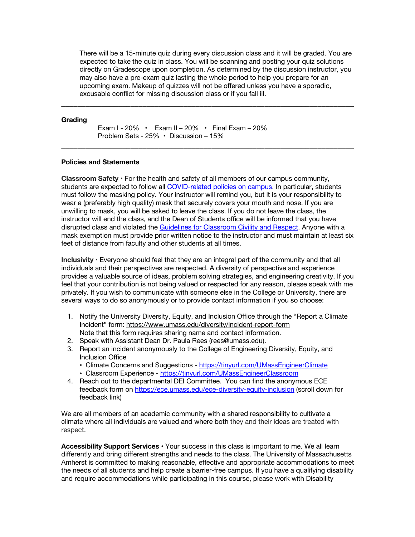There will be a 15-minute quiz during every discussion class and it will be graded. You are expected to take the quiz in class. You will be scanning and posting your quiz solutions directly on Gradescope upon completion. As determined by the discussion instructor, you may also have a pre-exam quiz lasting the whole period to help you prepare for an upcoming exam. Makeup of quizzes will not be offered unless you have a sporadic, excusable conflict for missing discussion class or if you fall ill.

\_\_\_\_\_\_\_\_\_\_\_\_\_\_\_\_\_\_\_\_\_\_\_\_\_\_\_\_\_\_\_\_\_\_\_\_\_\_\_\_\_\_\_\_\_\_\_\_\_\_\_\_\_\_\_\_\_\_\_\_\_\_\_\_\_\_\_\_\_\_\_\_

\_\_\_\_\_\_\_\_\_\_\_\_\_\_\_\_\_\_\_\_\_\_\_\_\_\_\_\_\_\_\_\_\_\_\_\_\_\_\_\_\_\_\_\_\_\_\_\_\_\_\_\_\_\_\_\_\_\_\_\_\_\_\_\_\_\_\_\_\_\_\_\_

#### **Grading**

Exam I - 20% • Exam II – 20% • Final Exam – 20% Problem Sets - 25% • Discussion – 15%

#### **Policies and Statements**

**Classroom Safety •** For the health and safety of all members of our campus community, students are expected to follow all COVID-related policies on campus. In particular, students must follow the masking policy. Your instructor will remind you, but it is your responsibility to wear a (preferably high quality) mask that securely covers your mouth and nose. If you are unwilling to mask, you will be asked to leave the class. If you do not leave the class, the instructor will end the class, and the Dean of Students office will be informed that you have disrupted class and violated the Guidelines for Classroom Civility and Respect. Anyone with a mask exemption must provide prior written notice to the instructor and must maintain at least six feet of distance from faculty and other students at all times.

**Inclusivity •** Everyone should feel that they are an integral part of the community and that all individuals and their perspectives are respected. A diversity of perspective and experience provides a valuable source of ideas, problem solving strategies, and engineering creativity. If you feel that your contribution is not being valued or respected for any reason, please speak with me privately. If you wish to communicate with someone else in the College or University, there are several ways to do so anonymously or to provide contact information if you so choose:

- 1. Notify the University Diversity, Equity, and Inclusion Office through the "Report a Climate Incident" form: https://www.umass.edu/diversity/incident-report-form Note that this form requires sharing name and contact information.
- 2. Speak with Assistant Dean Dr. Paula Rees (rees@umass.edu).
- 3. Report an incident anonymously to the College of Engineering Diversity, Equity, and Inclusion Office
	- Climate Concerns and Suggestions https://tinyurl.com/UMassEngineerClimate
	- Classroom Experience https://tinyurl.com/UMassEngineerClassroom
- 4. Reach out to the departmental DEI Committee. You can find the anonymous ECE feedback form on https://ece.umass.edu/ece-diversity-equity-inclusion (scroll down for feedback link)

We are all members of an academic community with a shared responsibility to cultivate a climate where all individuals are valued and where both they and their ideas are treated with respect.

**Accessibility Support Services •** Your success in this class is important to me. We all learn differently and bring different strengths and needs to the class. The University of Massachusetts Amherst is committed to making reasonable, effective and appropriate accommodations to meet the needs of all students and help create a barrier-free campus. If you have a qualifying disability and require accommodations while participating in this course, please work with Disability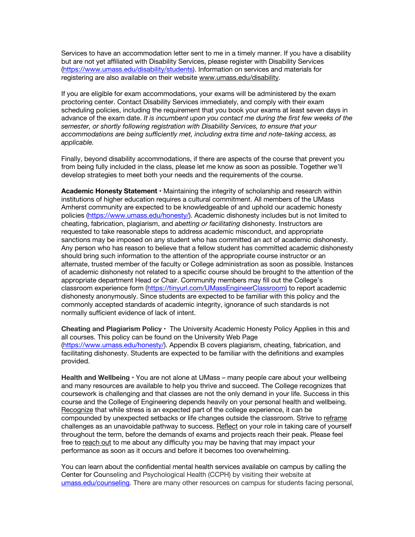Services to have an accommodation letter sent to me in a timely manner. If you have a disability but are not yet affiliated with Disability Services, please register with Disability Services (https://www.umass.edu/disability/students). Information on services and materials for registering are also available on their website www.umass.edu/disability.

If you are eligible for exam accommodations, your exams will be administered by the exam proctoring center. Contact Disability Services immediately, and comply with their exam scheduling policies, including the requirement that you book your exams at least seven days in advance of the exam date. *It is incumbent upon you contact me during the first few weeks of the semester, or shortly following registration with Disability Services, to ensure that your accommodations are being sufficiently met, including extra time and note-taking access, as applicable.*

Finally, beyond disability accommodations, if there are aspects of the course that prevent you from being fully included in the class, please let me know as soon as possible. Together we'll develop strategies to meet both your needs and the requirements of the course.

**Academic Honesty Statement •** Maintaining the integrity of scholarship and research within institutions of higher education requires a cultural commitment. All members of the UMass Amherst community are expected to be knowledgeable of and uphold our academic honesty policies (https://www.umass.edu/honesty/). Academic dishonesty includes but is not limited to cheating, fabrication, plagiarism, and *abetting or facilitating* dishonesty. Instructors are requested to take reasonable steps to address academic misconduct, and appropriate sanctions may be imposed on any student who has committed an act of academic dishonesty. Any person who has reason to believe that a fellow student has committed academic dishonesty should bring such information to the attention of the appropriate course instructor or an alternate, trusted member of the faculty or College administration as soon as possible. Instances of academic dishonesty not related to a specific course should be brought to the attention of the appropriate department Head or Chair. Community members may fill out the College's classroom experience form (https://tinyurl.com/UMassEngineerClassroom) to report academic dishonesty anonymously. Since students are expected to be familiar with this policy and the commonly accepted standards of academic integrity, ignorance of such standards is not normally sufficient evidence of lack of intent.

**Cheating and Plagiarism Policy •** The University Academic Honesty Policy Applies in this and all courses. This policy can be found on the University Web Page (https://www.umass.edu/honesty/). Appendix B covers plagiarism, cheating, fabrication, and facilitating dishonesty. Students are expected to be familiar with the definitions and examples provided.

**Health and Wellbeing •** You are not alone at UMass – many people care about your wellbeing and many resources are available to help you thrive and succeed. The College recognizes that coursework is challenging and that classes are not the only demand in your life. Success in this course and the College of Engineering depends heavily on your personal health and wellbeing. Recognize that while stress is an expected part of the college experience, it can be compounded by unexpected setbacks or life changes outside the classroom. Strive to reframe challenges as an unavoidable pathway to success. Reflect on your role in taking care of yourself throughout the term, before the demands of exams and projects reach their peak. Please feel free to reach out to me about any difficulty you may be having that may impact your performance as soon as it occurs and before it becomes too overwhelming.

You can learn about the confidential mental health services available on campus by calling the Center for Counseling and Psychological Health (CCPH) by visiting their website at umass.edu/counseling. There are many other resources on campus for students facing personal,